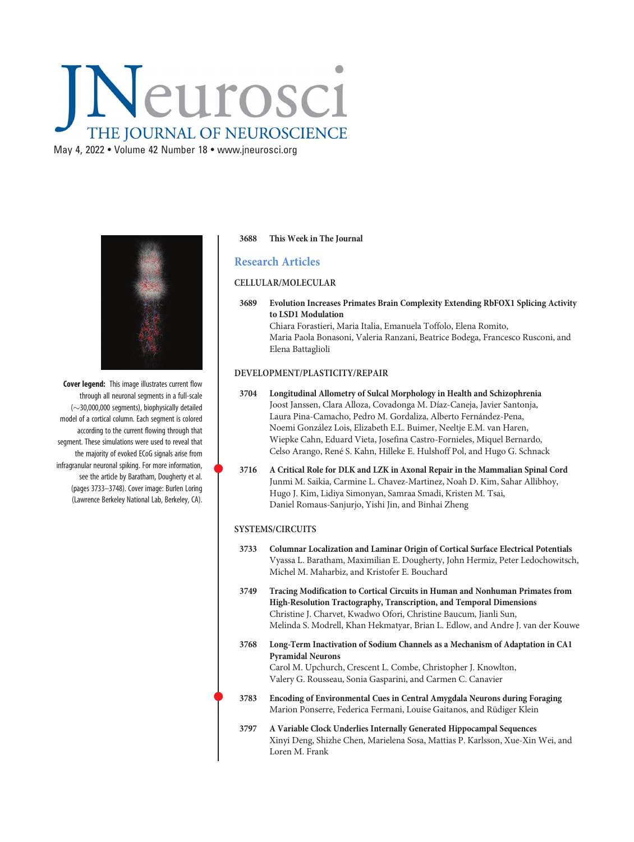# Neurosci THE JOURNAL OF NEUROSCIENCE

 $\mathcal{M}$  4, 2022 • Volume 42 Number 18  $\mathcal{M}$   $\mathcal{M}$   $\mathcal{M}$   $\mathcal{M}$   $\mathcal{M}$ 



Cover legend: This image illustrates current flow through all neuronal segments in a full-scale  $(\sim$ 30,000,000 segments), biophysically detailed model of a cortical column. Each segment is colored according to the current flowing through that segment. These simulations were used to reveal that the majority of evoked ECoG signals arise from infragranular neuronal spiking. For more information, see the article by Baratham, Dougherty et al. (pages 3733–3748). Cover image: Burlen Loring (Lawrence Berkeley National Lab, Berkeley, CA).

## 3688 This Week in The Journal

# Research Articles

#### CELLULAR/MOLECULAR

3689 Evolution Increases Primates Brain Complexity Extending RbFOX1 Splicing Activity to LSD1 Modulation Chiara Forastieri, Maria Italia, Emanuela Toffolo, Elena Romito, Maria Paola Bonasoni, Valeria Ranzani, Beatrice Bodega, Francesco Rusconi, and Elena Battaglioli

## DEVELOPMENT/PLASTICITY/REPAIR

- 3704 Longitudinal Allometry of Sulcal Morphology in Health and Schizophrenia Joost Janssen, Clara Alloza, Covadonga M. Díaz-Caneja, Javier Santonja, Laura Pina-Camacho, Pedro M. Gordaliza, Alberto Fernández-Pena, Noemi González Lois, Elizabeth E.L. Buimer, Neeltje E.M. van Haren, Wiepke Cahn, Eduard Vieta, Josefina Castro-Fornieles, Miquel Bernardo, Celso Arango, René S. Kahn, Hilleke E. Hulshoff Pol, and Hugo G. Schnack
- <sup>3716</sup> A Critical Role for DLK and LZK in Axonal Repair in the Mammalian Spinal Cord Junmi M. Saikia, Carmine L. Chavez-Martinez, Noah D. Kim, Sahar Allibhoy, Hugo J. Kim, Lidiya Simonyan, Samraa Smadi, Kristen M. Tsai, Daniel Romaus-Sanjurjo, Yishi Jin, and Binhai Zheng

## SYSTEMS/CIRCUITS

- 3733 Columnar Localization and Laminar Origin of Cortical Surface Electrical Potentials Vyassa L. Baratham, Maximilian E. Dougherty, John Hermiz, Peter Ledochowitsch, Michel M. Maharbiz, and Kristofer E. Bouchard
- 3749 Tracing Modification to Cortical Circuits in Human and Nonhuman Primates from High-Resolution Tractography, Transcription, and Temporal Dimensions Christine J. Charvet, Kwadwo Ofori, Christine Baucum, Jianli Sun, Melinda S. Modrell, Khan Hekmatyar, Brian L. Edlow, and Andre J. van der Kouwe
- 3768 Long-Term Inactivation of Sodium Channels as a Mechanism of Adaptation in CA1 Pyramidal Neurons Carol M. Upchurch, Crescent L. Combe, Christopher J. Knowlton,

Valery G. Rousseau, Sonia Gasparini, and Carmen C. Canavier

- <sup>3783</sup> Encoding of Environmental Cues in Central Amygdala Neurons during Foraging Marion Ponserre, Federica Fermani, Louise Gaitanos, and Rüdiger Klein
- 3797 A Variable Clock Underlies Internally Generated Hippocampal Sequences Xinyi Deng, Shizhe Chen, Marielena Sosa, Mattias P. Karlsson, Xue-Xin Wei, and Loren M. Frank